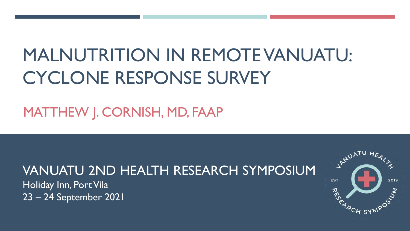# MALNUTRITION IN REMOTE VANUATU: CYCLONE RESPONSE SURVEY

## MATTHEW J. CORNISH, MD, FAAP

# VANUATU 2ND HEALTH RESEARCH SYMPOSIUM

Holiday Inn, Port Vila 23 – 24 September 2021

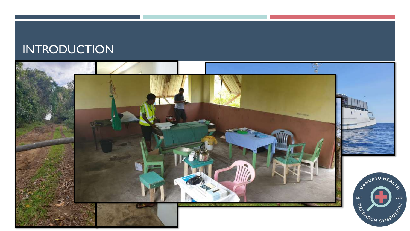## **INTRODUCTION**

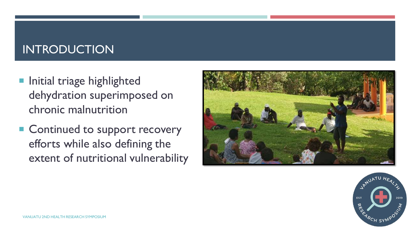## INTRODUCTION

- **Initial triage highlighted** dehydration superimposed on chronic malnutrition
- Continued to support recovery efforts while also defining the extent of nutritional vulnerability



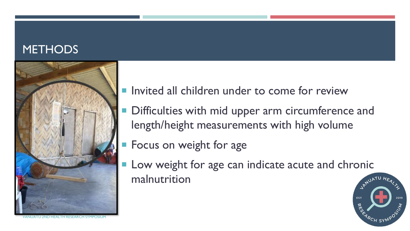#### **METHODS**



VANUATU 2ND HEALTH RESEARCH SYMPOSIUM

- **Invited all children under to come for review**
- Difficulties with mid upper arm circumference and length/height measurements with high volume
- **Focus on weight for age**
- **Low weight for age can indicate acute and chronic** malnutrition

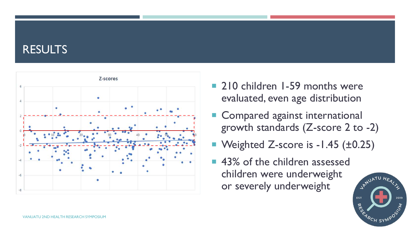#### RESULTS



- **210 children 1-59 months were** evaluated, even age distribution
- Compared against international growth standards (Z-score 2 to -2)
- Weighted Z-score is -1.45 (±0.25)
- 43% of the children assessed children were underweight or severely underweight

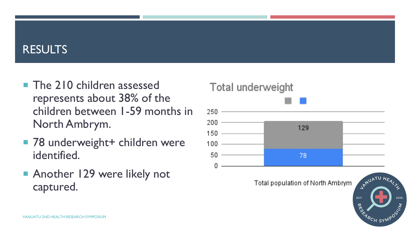#### RESULTS

- **The 210 children assessed** represents about 38% of the children between 1-59 months in North Ambrym.
- 78 underweight+ children were identified.
- Another 129 were likely not captured.

#### Total underweight



<sup>R</sup>CH SY'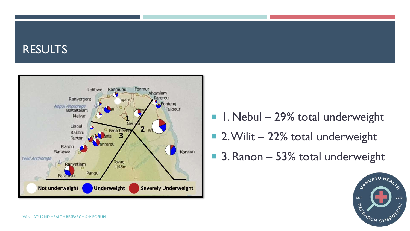#### RESULTS



- $\blacksquare$  I. Nebul 29% total underweight
- 2. Wilit 22% total underweight
- 3. Ranon 53% total underweight

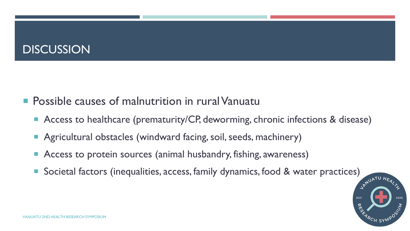## **DISCUSSION**

- **Possible causes of malnutrition in rural Vanuatu** 
	- Access to healthcare (prematurity/CP, deworming, chronic infections & disease)
	- Agricultural obstacles (windward facing, soil, seeds, machinery)
	- Access to protein sources (animal husbandry, fishing, awareness)
	- Societal factors (inequalities, access, family dynamics, food & water practices)

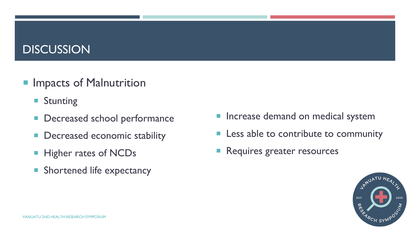#### **DISCUSSION**

#### **Impacts of Malnutrition**

- **Stunting**
- **Decreased school performance**
- **Decreased economic stability**
- **Higher rates of NCDs**
- **Shortened life expectancy**
- **Increase demand on medical system**
- **Less able to contribute to community**
- Requires greater resources

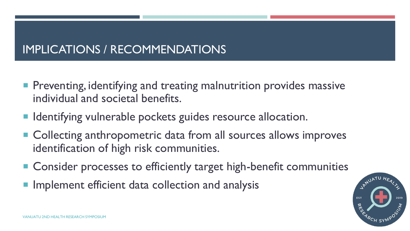## IMPLICATIONS / RECOMMENDATIONS

- **Preventing, identifying and treating malnutrition provides massive** individual and societal benefits.
- Identifying vulnerable pockets guides resource allocation.
- Collecting anthropometric data from all sources allows improves identification of high risk communities.
- Consider processes to efficiently target high-benefit communities
- **Implement efficient data collection and analysis**

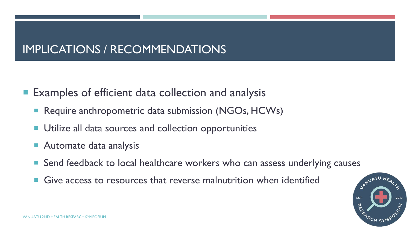## IMPLICATIONS / RECOMMENDATIONS

■ Examples of efficient data collection and analysis

- **Require anthropometric data submission (NGOs, HCWs)**
- **Utilize all data sources and collection opportunities**
- **Automate data analysis**
- Send feedback to local healthcare workers who can assess underlying causes
- **Give access to resources that reverse malnutrition when identified**

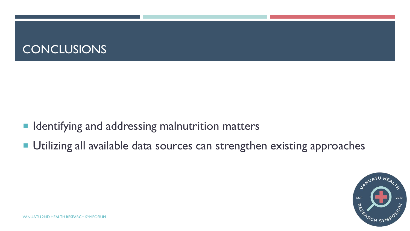#### CONCLUSIONS

- **In Identifying and addressing malnutrition matters**
- **Utilizing all available data sources can strengthen existing approaches**